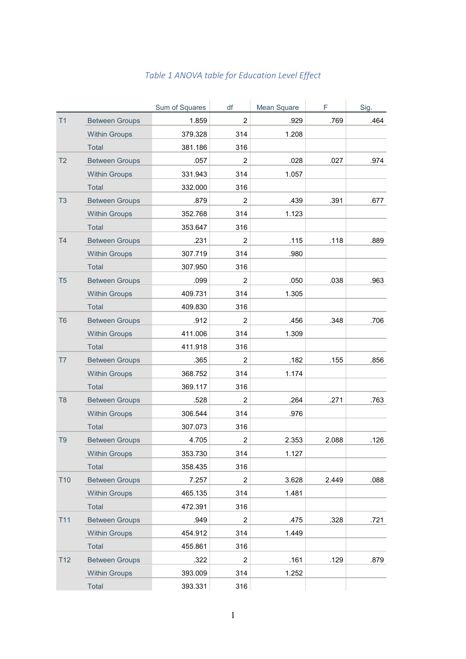|                 |                       | Sum of Squares | df             | Mean Square | F.    | Sig. |
|-----------------|-----------------------|----------------|----------------|-------------|-------|------|
| T1              | <b>Between Groups</b> | 1.859          | $\overline{2}$ | .929        | .769  | .464 |
|                 | <b>Within Groups</b>  | 379.328        | 314            | 1.208       |       |      |
|                 | Total                 | 381.186        | 316            |             |       |      |
| T <sub>2</sub>  | <b>Between Groups</b> | .057           | $\overline{2}$ | .028        | .027  | .974 |
|                 | <b>Within Groups</b>  | 331.943        | 314            | 1.057       |       |      |
|                 | <b>Total</b>          | 332.000        | 316            |             |       |      |
| T <sub>3</sub>  | <b>Between Groups</b> | .879           | $\overline{2}$ | .439        | .391  | .677 |
|                 | <b>Within Groups</b>  | 352.768        | 314            | 1.123       |       |      |
|                 | Total                 | 353.647        | 316            |             |       |      |
| <b>T4</b>       | <b>Between Groups</b> | .231           | $\overline{2}$ | .115        | .118  | .889 |
|                 | <b>Within Groups</b>  | 307.719        | 314            | .980        |       |      |
|                 | <b>Total</b>          | 307.950        | 316            |             |       |      |
| T <sub>5</sub>  | <b>Between Groups</b> | .099           | $\overline{2}$ | .050        | .038  | .963 |
|                 | <b>Within Groups</b>  | 409.731        | 314            | 1.305       |       |      |
|                 | Total                 | 409.830        | 316            |             |       |      |
| T <sub>6</sub>  | <b>Between Groups</b> | .912           | $\overline{2}$ | .456        | .348  | .706 |
|                 | <b>Within Groups</b>  | 411.006        | 314            | 1.309       |       |      |
|                 | <b>Total</b>          | 411.918        | 316            |             |       |      |
| T7              | <b>Between Groups</b> | .365           | 2              | .182        | .155  | .856 |
|                 | <b>Within Groups</b>  | 368.752        | 314            | 1.174       |       |      |
|                 | Total                 | 369.117        | 316            |             |       |      |
| T <sub>8</sub>  | <b>Between Groups</b> | .528           | $\overline{2}$ | .264        | .271  | .763 |
|                 | <b>Within Groups</b>  | 306.544        | 314            | .976        |       |      |
|                 | Total                 | 307.073        | 316            |             |       |      |
| T <sub>9</sub>  | <b>Between Groups</b> | 4.705          | 2              | 2.353       | 2.088 | .126 |
|                 | <b>Within Groups</b>  | 353.730        | 314            | 1.127       |       |      |
|                 | Total                 | 358.435        | 316            |             |       |      |
| T <sub>10</sub> | <b>Between Groups</b> | 7.257          | $\overline{2}$ | 3.628       | 2.449 | .088 |
|                 | <b>Within Groups</b>  | 465.135        | 314            | 1.481       |       |      |
|                 | Total                 | 472.391        | 316            |             |       |      |
| T11             | <b>Between Groups</b> | .949           | $\overline{2}$ | .475        | .328  | .721 |
|                 | <b>Within Groups</b>  | 454.912        | 314            | 1.449       |       |      |
|                 | Total                 | 455.861        | 316            |             |       |      |
| T12             | <b>Between Groups</b> | .322           | $\overline{2}$ | .161        | .129  | .879 |
|                 | <b>Within Groups</b>  | 393.009        | 314            | 1.252       |       |      |
|                 | Total                 | 393.331        | 316            |             |       |      |

## *Table 1 ANOVA table for Education Level Effect*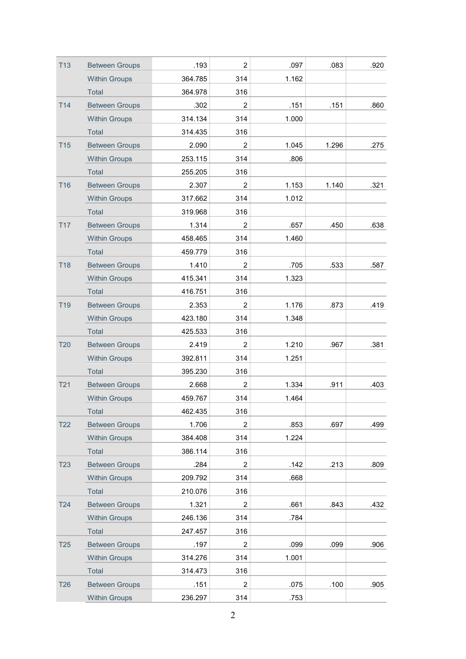| <b>T13</b> | <b>Between Groups</b> | .193    | $\overline{2}$ | .097  | .083  | .920 |
|------------|-----------------------|---------|----------------|-------|-------|------|
|            | <b>Within Groups</b>  | 364.785 | 314            | 1.162 |       |      |
|            | Total                 | 364.978 | 316            |       |       |      |
| T14        | <b>Between Groups</b> | .302    | $\overline{2}$ | .151  | .151  | .860 |
|            | <b>Within Groups</b>  | 314.134 | 314            | 1.000 |       |      |
|            | Total                 | 314.435 | 316            |       |       |      |
| <b>T15</b> | <b>Between Groups</b> | 2.090   | $\overline{2}$ | 1.045 | 1.296 | .275 |
|            | <b>Within Groups</b>  | 253.115 | 314            | .806  |       |      |
|            | Total                 | 255.205 | 316            |       |       |      |
| <b>T16</b> | <b>Between Groups</b> | 2.307   | $\overline{2}$ | 1.153 | 1.140 | .321 |
|            | <b>Within Groups</b>  | 317.662 | 314            | 1.012 |       |      |
|            | <b>Total</b>          | 319.968 | 316            |       |       |      |
| <b>T17</b> | <b>Between Groups</b> | 1.314   | 2              | .657  | .450  | .638 |
|            | <b>Within Groups</b>  | 458.465 | 314            | 1.460 |       |      |
|            | Total                 | 459.779 | 316            |       |       |      |
| <b>T18</b> | <b>Between Groups</b> | 1.410   | $\overline{2}$ | .705  | .533  | .587 |
|            | <b>Within Groups</b>  | 415.341 | 314            | 1.323 |       |      |
|            | Total                 | 416.751 | 316            |       |       |      |
| <b>T19</b> | <b>Between Groups</b> | 2.353   | $\overline{2}$ | 1.176 | .873  | .419 |
|            | <b>Within Groups</b>  | 423.180 | 314            | 1.348 |       |      |
|            | Total                 | 425.533 | 316            |       |       |      |
| <b>T20</b> | <b>Between Groups</b> | 2.419   | $\overline{2}$ | 1.210 | .967  | .381 |
|            | <b>Within Groups</b>  | 392.811 | 314            | 1.251 |       |      |
|            | <b>Total</b>          | 395.230 | 316            |       |       |      |
| T21        | <b>Between Groups</b> | 2.668   | $\overline{2}$ | 1.334 | .911  | .403 |
|            | <b>Within Groups</b>  | 459.767 | 314            | 1.464 |       |      |
|            | Total                 | 462.435 | 316            |       |       |      |
| <b>T22</b> | <b>Between Groups</b> | 1.706   | $\overline{2}$ | .853  | .697  | .499 |
|            | <b>Within Groups</b>  | 384.408 | 314            | 1.224 |       |      |
|            | Total                 | 386.114 | 316            |       |       |      |
| <b>T23</b> | <b>Between Groups</b> | .284    | $\overline{2}$ | .142  | .213  | .809 |
|            | <b>Within Groups</b>  | 209.792 | 314            | .668  |       |      |
|            | Total                 | 210.076 | 316            |       |       |      |
| <b>T24</b> | <b>Between Groups</b> | 1.321   | $\overline{2}$ | .661  | .843  | .432 |
|            | <b>Within Groups</b>  | 246.136 | 314            | .784  |       |      |
|            | Total                 | 247.457 | 316            |       |       |      |
| <b>T25</b> | <b>Between Groups</b> | .197    | $\overline{2}$ | .099  | .099  | .906 |
|            | <b>Within Groups</b>  | 314.276 | 314            | 1.001 |       |      |
|            | Total                 | 314.473 | 316            |       |       |      |
| <b>T26</b> | <b>Between Groups</b> | .151    | 2              | .075  | .100  | .905 |
|            | <b>Within Groups</b>  | 236.297 | 314            | .753  |       |      |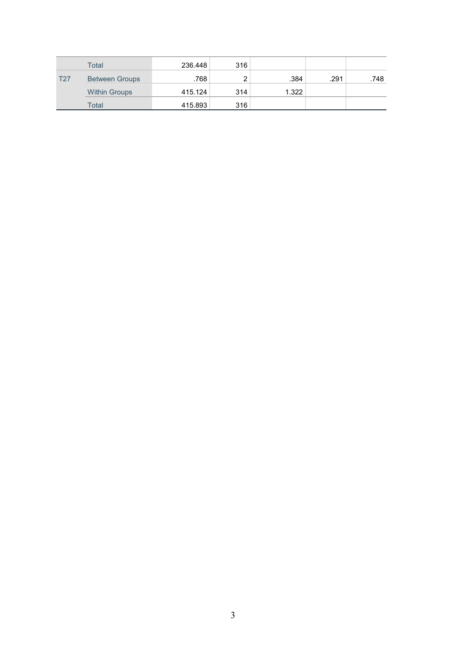|            | Total                 | 236.448 | 316 |       |      |      |
|------------|-----------------------|---------|-----|-------|------|------|
| <b>T27</b> | <b>Between Groups</b> | .768    | ົ   | .384  | .291 | .748 |
|            | <b>Within Groups</b>  | 415.124 | 314 | 1.322 |      |      |
|            | Total                 | 415.893 | 316 |       |      |      |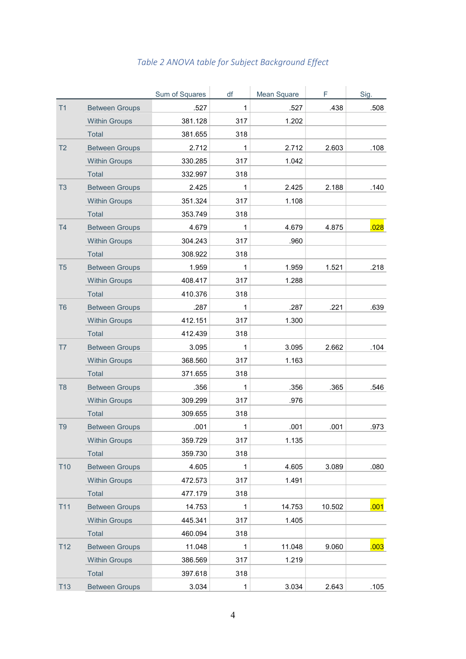|                 |                       | Sum of Squares | df           | Mean Square | F      | Sig. |
|-----------------|-----------------------|----------------|--------------|-------------|--------|------|
| T1              | <b>Between Groups</b> | .527           | $\mathbf{1}$ | .527        | .438   | .508 |
|                 | <b>Within Groups</b>  | 381.128        | 317          | 1.202       |        |      |
|                 | <b>Total</b>          | 381.655        | 318          |             |        |      |
| T <sub>2</sub>  | <b>Between Groups</b> | 2.712          | 1            | 2.712       | 2.603  | .108 |
|                 | <b>Within Groups</b>  | 330.285        | 317          | 1.042       |        |      |
|                 | <b>Total</b>          | 332.997        | 318          |             |        |      |
| T <sub>3</sub>  | <b>Between Groups</b> | 2.425          | $\mathbf 1$  | 2.425       | 2.188  | .140 |
|                 | <b>Within Groups</b>  | 351.324        | 317          | 1.108       |        |      |
|                 | <b>Total</b>          | 353.749        | 318          |             |        |      |
| T <sub>4</sub>  | <b>Between Groups</b> | 4.679          | 1            | 4.679       | 4.875  | .028 |
|                 | <b>Within Groups</b>  | 304.243        | 317          | .960        |        |      |
|                 | <b>Total</b>          | 308.922        | 318          |             |        |      |
| T <sub>5</sub>  | <b>Between Groups</b> | 1.959          | $\mathbf{1}$ | 1.959       | 1.521  | .218 |
|                 | <b>Within Groups</b>  | 408.417        | 317          | 1.288       |        |      |
|                 | <b>Total</b>          | 410.376        | 318          |             |        |      |
| T <sub>6</sub>  | <b>Between Groups</b> | .287           | 1            | .287        | .221   | .639 |
|                 | <b>Within Groups</b>  | 412.151        | 317          | 1.300       |        |      |
|                 | <b>Total</b>          | 412.439        | 318          |             |        |      |
| T7              | <b>Between Groups</b> | 3.095          | $\mathbf 1$  | 3.095       | 2.662  | .104 |
|                 | <b>Within Groups</b>  | 368.560        | 317          | 1.163       |        |      |
|                 | <b>Total</b>          | 371.655        | 318          |             |        |      |
| T <sub>8</sub>  | <b>Between Groups</b> | .356           | 1            | .356        | .365   | .546 |
|                 | <b>Within Groups</b>  | 309.299        | 317          | .976        |        |      |
|                 | Total                 | 309.655        | 318          |             |        |      |
| T <sub>9</sub>  | <b>Between Groups</b> | .001           | 1            | .001        | .001   | .973 |
|                 | <b>Within Groups</b>  | 359.729        | 317          | 1.135       |        |      |
|                 | Total                 | 359.730        | 318          |             |        |      |
| <b>T10</b>      | <b>Between Groups</b> | 4.605          | $\mathbf{1}$ | 4.605       | 3.089  | .080 |
|                 | <b>Within Groups</b>  | 472.573        | 317          | 1.491       |        |      |
|                 | Total                 | 477.179        | 318          |             |        |      |
| T11             | <b>Between Groups</b> | 14.753         | $\mathbf{1}$ | 14.753      | 10.502 | .001 |
|                 | <b>Within Groups</b>  | 445.341        | 317          | 1.405       |        |      |
|                 | Total                 | 460.094        | 318          |             |        |      |
| T <sub>12</sub> | <b>Between Groups</b> | 11.048         | $\mathbf 1$  | 11.048      | 9.060  | .003 |
|                 | <b>Within Groups</b>  | 386.569        | 317          | 1.219       |        |      |
|                 | Total                 | 397.618        | 318          |             |        |      |
| T13             | <b>Between Groups</b> | 3.034          | $\mathbf{1}$ | 3.034       | 2.643  | .105 |

## *Table 2 ANOVA table for Subject Background Effect*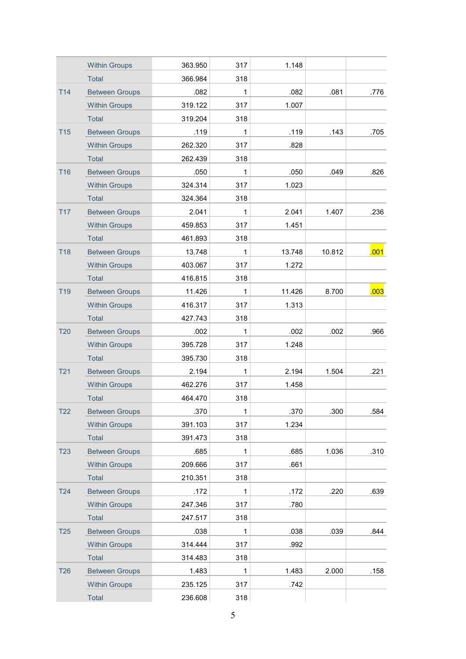|                 | <b>Within Groups</b>  | 363.950 | 317          | 1.148  |        |      |
|-----------------|-----------------------|---------|--------------|--------|--------|------|
|                 | <b>Total</b>          | 366.984 | 318          |        |        |      |
| T14             | <b>Between Groups</b> | .082    | $\mathbf 1$  | .082   | .081   | .776 |
|                 | <b>Within Groups</b>  | 319.122 | 317          | 1.007  |        |      |
|                 | <b>Total</b>          | 319.204 | 318          |        |        |      |
| <b>T15</b>      | <b>Between Groups</b> | .119    | $\mathbf{1}$ | .119   | .143   | .705 |
|                 | <b>Within Groups</b>  | 262.320 | 317          | .828   |        |      |
|                 | Total                 | 262.439 | 318          |        |        |      |
| <b>T16</b>      | <b>Between Groups</b> | .050    | $\mathbf 1$  | .050   | .049   | .826 |
|                 | <b>Within Groups</b>  | 324.314 | 317          | 1.023  |        |      |
|                 | Total                 | 324.364 | 318          |        |        |      |
| <b>T17</b>      | <b>Between Groups</b> | 2.041   | $\mathbf{1}$ | 2.041  | 1.407  | .236 |
|                 | <b>Within Groups</b>  | 459.853 | 317          | 1.451  |        |      |
|                 | <b>Total</b>          | 461.893 | 318          |        |        |      |
| <b>T18</b>      | <b>Between Groups</b> | 13.748  | $\mathbf 1$  | 13.748 | 10.812 | .001 |
|                 | <b>Within Groups</b>  | 403.067 | 317          | 1.272  |        |      |
|                 | <b>Total</b>          | 416.815 | 318          |        |        |      |
| <b>T19</b>      | <b>Between Groups</b> | 11.426  | $\mathbf{1}$ | 11.426 | 8.700  | .003 |
|                 | <b>Within Groups</b>  | 416.317 | 317          | 1.313  |        |      |
|                 | Total                 | 427.743 | 318          |        |        |      |
| <b>T20</b>      | <b>Between Groups</b> | .002    | $\mathbf 1$  | .002   | .002   | .966 |
|                 | <b>Within Groups</b>  | 395.728 | 317          | 1.248  |        |      |
|                 | <b>Total</b>          | 395.730 | 318          |        |        |      |
| T <sub>21</sub> | <b>Between Groups</b> | 2.194   | $\mathbf{1}$ | 2.194  | 1.504  | .221 |
|                 | <b>Within Groups</b>  | 462.276 | 317          | 1.458  |        |      |
|                 | <b>Total</b>          | 464.470 | 318          |        |        |      |
| T22             | <b>Between Groups</b> | .370    | 1            | .370   | .300   | .584 |
|                 | <b>Within Groups</b>  | 391.103 | 317          | 1.234  |        |      |
|                 | Total                 | 391.473 | 318          |        |        |      |
| T <sub>23</sub> | <b>Between Groups</b> | .685    | $\mathbf 1$  | .685   | 1.036  | .310 |
|                 | <b>Within Groups</b>  | 209.666 | 317          | .661   |        |      |
|                 | Total                 | 210.351 | 318          |        |        |      |
| T24             | <b>Between Groups</b> | .172    | $\mathbf{1}$ | .172   | .220   | .639 |
|                 | <b>Within Groups</b>  | 247.346 | 317          | .780   |        |      |
|                 | Total                 | 247.517 | 318          |        |        |      |
| <b>T25</b>      | <b>Between Groups</b> | .038    | $\mathbf{1}$ | .038   | .039   | .844 |
|                 | <b>Within Groups</b>  | 314.444 | 317          | .992   |        |      |
|                 | Total                 | 314.483 | 318          |        |        |      |
| <b>T26</b>      | <b>Between Groups</b> | 1.483   | $\mathbf{1}$ | 1.483  | 2.000  | .158 |
|                 | <b>Within Groups</b>  | 235.125 | 317          | .742   |        |      |
|                 | Total                 | 236.608 | 318          |        |        |      |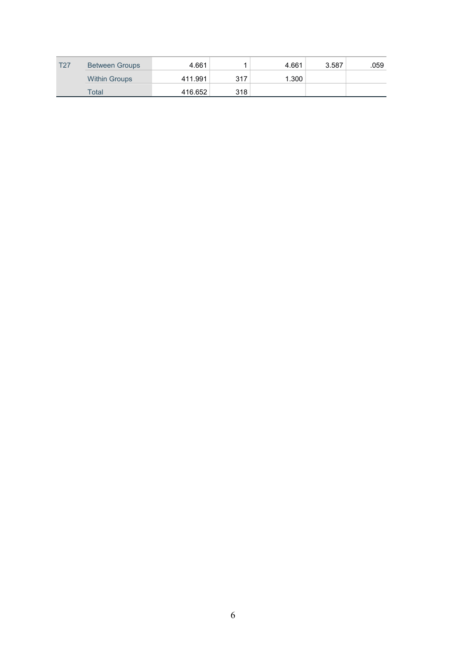| T <sub>27</sub> | <b>Between Groups</b> | 4.661   |     | 4.661 | 3.587 | .059 |
|-----------------|-----------------------|---------|-----|-------|-------|------|
|                 | <b>Within Groups</b>  | 411.991 | 317 | 1.300 |       |      |
|                 | <b>Total</b>          | 416.652 | 318 |       |       |      |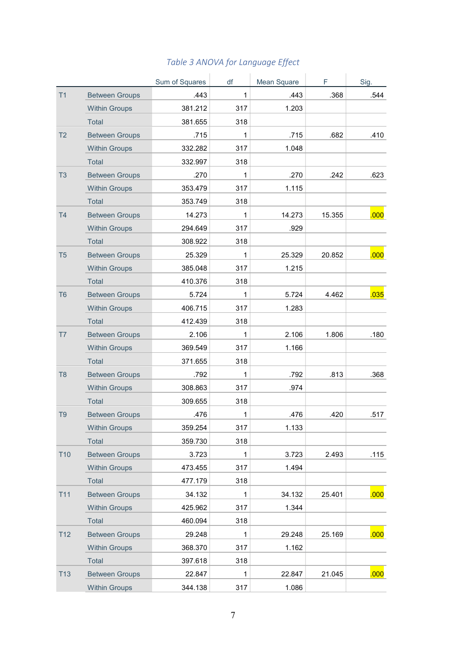|                |                       | Sum of Squares | df           | Mean Square | F.     | Sig. |
|----------------|-----------------------|----------------|--------------|-------------|--------|------|
| T1             | <b>Between Groups</b> | .443           | $\mathbf{1}$ | .443        | .368   | .544 |
|                | <b>Within Groups</b>  | 381.212        | 317          | 1.203       |        |      |
|                | Total                 | 381.655        | 318          |             |        |      |
| T <sub>2</sub> | <b>Between Groups</b> | .715           | $\mathbf{1}$ | .715        | .682   | .410 |
|                | <b>Within Groups</b>  | 332.282        | 317          | 1.048       |        |      |
|                | Total                 | 332.997        | 318          |             |        |      |
| T <sub>3</sub> | <b>Between Groups</b> | .270           | $\mathbf{1}$ | .270        | .242   | .623 |
|                | <b>Within Groups</b>  | 353.479        | 317          | 1.115       |        |      |
|                | Total                 | 353.749        | 318          |             |        |      |
| T <sub>4</sub> | <b>Between Groups</b> | 14.273         | $\mathbf{1}$ | 14.273      | 15.355 | .000 |
|                | <b>Within Groups</b>  | 294.649        | 317          | .929        |        |      |
|                | Total                 | 308.922        | 318          |             |        |      |
| T <sub>5</sub> | <b>Between Groups</b> | 25.329         | $\mathbf{1}$ | 25.329      | 20.852 | .000 |
|                | <b>Within Groups</b>  | 385.048        | 317          | 1.215       |        |      |
|                | Total                 | 410.376        | 318          |             |        |      |
| T <sub>6</sub> | <b>Between Groups</b> | 5.724          | $\mathbf{1}$ | 5.724       | 4.462  | .035 |
|                | <b>Within Groups</b>  | 406.715        | 317          | 1.283       |        |      |
|                | Total                 | 412.439        | 318          |             |        |      |
| T7             | <b>Between Groups</b> | 2.106          | $\mathbf{1}$ | 2.106       | 1.806  | .180 |
|                | <b>Within Groups</b>  | 369.549        | 317          | 1.166       |        |      |
|                | Total                 | 371.655        | 318          |             |        |      |
| T <sub>8</sub> | <b>Between Groups</b> | .792           | $\mathbf{1}$ | .792        | .813   | .368 |
|                | <b>Within Groups</b>  | 308.863        | 317          | .974        |        |      |
|                | Total                 | 309.655        | 318          |             |        |      |
| T <sub>9</sub> | <b>Between Groups</b> | .476           | 1            | .476        | .420   | .517 |
|                | <b>Within Groups</b>  | 359.254        | 317          | 1.133       |        |      |
|                | Total                 | 359.730        | 318          |             |        |      |
| <b>T10</b>     | <b>Between Groups</b> | 3.723          | $\mathbf{1}$ | 3.723       | 2.493  | .115 |
|                | <b>Within Groups</b>  | 473.455        | 317          | 1.494       |        |      |
|                | Total                 | 477.179        | 318          |             |        |      |
| <b>T11</b>     | <b>Between Groups</b> | 34.132         | 1            | 34.132      | 25.401 | .000 |
|                | <b>Within Groups</b>  | 425.962        | 317          | 1.344       |        |      |
|                | Total                 | 460.094        | 318          |             |        |      |
| T12            | <b>Between Groups</b> | 29.248         | $\mathbf 1$  | 29.248      | 25.169 | .000 |
|                | <b>Within Groups</b>  | 368.370        | 317          | 1.162       |        |      |
|                | Total                 | 397.618        | 318          |             |        |      |
| T13            | <b>Between Groups</b> | 22.847         | 1            | 22.847      | 21.045 | .000 |
|                | <b>Within Groups</b>  | 344.138        | 317          | 1.086       |        |      |

## *Table 3 ANOVA for Language Effect*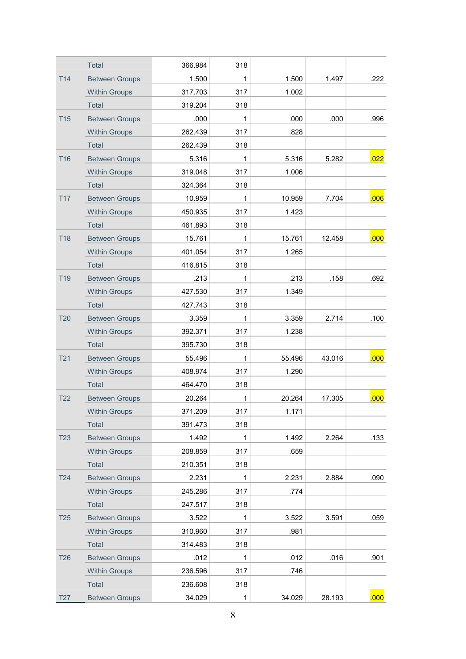|                 | <b>Total</b>          | 366.984 | 318          |        |        |      |
|-----------------|-----------------------|---------|--------------|--------|--------|------|
| <b>T14</b>      | <b>Between Groups</b> | 1.500   | 1            | 1.500  | 1.497  | .222 |
|                 | <b>Within Groups</b>  | 317.703 | 317          | 1.002  |        |      |
|                 | Total                 | 319.204 | 318          |        |        |      |
| <b>T15</b>      | <b>Between Groups</b> | .000    | 1            | .000   | .000   | .996 |
|                 | <b>Within Groups</b>  | 262.439 | 317          | .828   |        |      |
|                 | <b>Total</b>          | 262.439 | 318          |        |        |      |
| <b>T16</b>      | <b>Between Groups</b> | 5.316   | 1            | 5.316  | 5.282  | .022 |
|                 | <b>Within Groups</b>  | 319.048 | 317          | 1.006  |        |      |
|                 | Total                 | 324.364 | 318          |        |        |      |
| <b>T17</b>      | <b>Between Groups</b> | 10.959  | 1            | 10.959 | 7.704  | .006 |
|                 | <b>Within Groups</b>  | 450.935 | 317          | 1.423  |        |      |
|                 | <b>Total</b>          | 461.893 | 318          |        |        |      |
| <b>T18</b>      | <b>Between Groups</b> | 15.761  | 1            | 15.761 | 12.458 | .000 |
|                 | <b>Within Groups</b>  | 401.054 | 317          | 1.265  |        |      |
|                 | Total                 | 416.815 | 318          |        |        |      |
| T <sub>19</sub> | <b>Between Groups</b> | .213    | 1            | .213   | .158   | .692 |
|                 | <b>Within Groups</b>  | 427.530 | 317          | 1.349  |        |      |
|                 | <b>Total</b>          | 427.743 | 318          |        |        |      |
| <b>T20</b>      | <b>Between Groups</b> | 3.359   | 1            | 3.359  | 2.714  | .100 |
|                 | <b>Within Groups</b>  | 392.371 | 317          | 1.238  |        |      |
|                 | Total                 | 395.730 | 318          |        |        |      |
| T <sub>21</sub> | <b>Between Groups</b> | 55.496  | 1            | 55.496 | 43.016 | .000 |
|                 | <b>Within Groups</b>  | 408.974 | 317          | 1.290  |        |      |
|                 | Total                 | 464.470 | 318          |        |        |      |
| <b>T22</b>      | <b>Between Groups</b> | 20.264  | 1            | 20.264 | 17.305 | .000 |
|                 | <b>Within Groups</b>  | 371.209 | 317          | 1.171  |        |      |
|                 | <b>Total</b>          | 391.473 | 318          |        |        |      |
| <b>T23</b>      | <b>Between Groups</b> | 1.492   | 1            | 1.492  | 2.264  | .133 |
|                 | <b>Within Groups</b>  | 208.859 | 317          | .659   |        |      |
|                 | Total                 | 210.351 | 318          |        |        |      |
| <b>T24</b>      | <b>Between Groups</b> | 2.231   | $\mathbf{1}$ | 2.231  | 2.884  | .090 |
|                 | <b>Within Groups</b>  | 245.286 | 317          | .774   |        |      |
|                 | <b>Total</b>          | 247.517 | 318          |        |        |      |
| <b>T25</b>      | <b>Between Groups</b> | 3.522   | 1            | 3.522  | 3.591  | .059 |
|                 | <b>Within Groups</b>  | 310.960 | 317          | .981   |        |      |
|                 | <b>Total</b>          | 314.483 | 318          |        |        |      |
| <b>T26</b>      | <b>Between Groups</b> | .012    | $\mathbf{1}$ | .012   | .016   | .901 |
|                 | <b>Within Groups</b>  | 236.596 | 317          | .746   |        |      |
|                 | Total                 | 236.608 | 318          |        |        |      |
| <b>T27</b>      | <b>Between Groups</b> | 34.029  | 1            | 34.029 | 28.193 | .000 |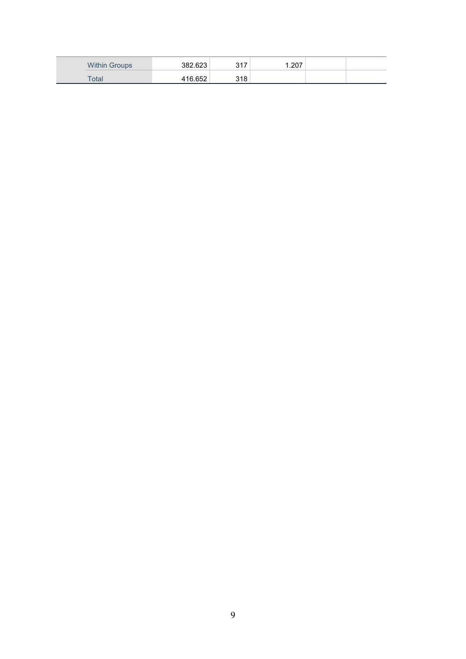| Within<br>Groups | 382.623 | 247<br><b>UII</b> | .207 |  |
|------------------|---------|-------------------|------|--|
| ⊺otai            | 416 652 | 318               |      |  |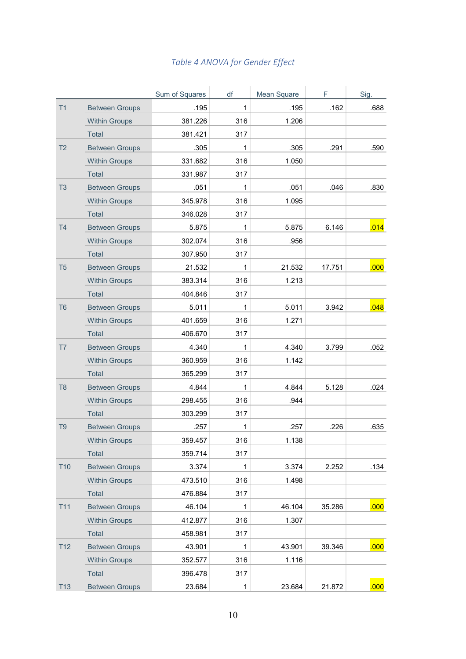| Table 4 ANOVA for Gender Effect |  |  |  |
|---------------------------------|--|--|--|
|---------------------------------|--|--|--|

|                 |                       | Sum of Squares | df  | Mean Square | F      | Sig. |
|-----------------|-----------------------|----------------|-----|-------------|--------|------|
| T1              | <b>Between Groups</b> | .195           | 1   | .195        | .162   | .688 |
|                 | <b>Within Groups</b>  | 381.226        | 316 | 1.206       |        |      |
|                 | <b>Total</b>          | 381.421        | 317 |             |        |      |
| T <sub>2</sub>  | <b>Between Groups</b> | .305           | 1   | .305        | .291   | .590 |
|                 | <b>Within Groups</b>  | 331.682        | 316 | 1.050       |        |      |
|                 | <b>Total</b>          | 331.987        | 317 |             |        |      |
| T <sub>3</sub>  | <b>Between Groups</b> | .051           | 1   | .051        | .046   | .830 |
|                 | <b>Within Groups</b>  | 345.978        | 316 | 1.095       |        |      |
|                 | <b>Total</b>          | 346.028        | 317 |             |        |      |
| T <sub>4</sub>  | <b>Between Groups</b> | 5.875          | 1   | 5.875       | 6.146  | .014 |
|                 | <b>Within Groups</b>  | 302.074        | 316 | .956        |        |      |
|                 | Total                 | 307.950        | 317 |             |        |      |
| T <sub>5</sub>  | <b>Between Groups</b> | 21.532         | 1   | 21.532      | 17.751 | .000 |
|                 | <b>Within Groups</b>  | 383.314        | 316 | 1.213       |        |      |
|                 | <b>Total</b>          | 404.846        | 317 |             |        |      |
| T <sub>6</sub>  | <b>Between Groups</b> | 5.011          | 1   | 5.011       | 3.942  | .048 |
|                 | <b>Within Groups</b>  | 401.659        | 316 | 1.271       |        |      |
|                 | <b>Total</b>          | 406.670        | 317 |             |        |      |
| T7              | <b>Between Groups</b> | 4.340          | 1   | 4.340       | 3.799  | .052 |
|                 | <b>Within Groups</b>  | 360.959        | 316 | 1.142       |        |      |
|                 | <b>Total</b>          | 365.299        | 317 |             |        |      |
| T <sub>8</sub>  | <b>Between Groups</b> | 4.844          | 1   | 4.844       | 5.128  | .024 |
|                 | <b>Within Groups</b>  | 298.455        | 316 | .944        |        |      |
|                 | Total                 | 303.299        | 317 |             |        |      |
| T <sub>9</sub>  | <b>Between Groups</b> | .257           | 1   | .257        | .226   | .635 |
|                 | <b>Within Groups</b>  | 359.457        | 316 | 1.138       |        |      |
|                 | <b>Total</b>          | 359.714        | 317 |             |        |      |
| <b>T10</b>      | <b>Between Groups</b> | 3.374          | 1   | 3.374       | 2.252  | .134 |
|                 | <b>Within Groups</b>  | 473.510        | 316 | 1.498       |        |      |
|                 | Total                 | 476.884        | 317 |             |        |      |
| <b>T11</b>      | <b>Between Groups</b> | 46.104         | 1   | 46.104      | 35.286 | .000 |
|                 | <b>Within Groups</b>  | 412.877        | 316 | 1.307       |        |      |
|                 | Total                 | 458.981        | 317 |             |        |      |
| T <sub>12</sub> | <b>Between Groups</b> | 43.901         | 1   | 43.901      | 39.346 | .000 |
|                 | <b>Within Groups</b>  | 352.577        | 316 | 1.116       |        |      |
|                 | Total                 | 396.478        | 317 |             |        |      |
| T13             | <b>Between Groups</b> | 23.684         | 1   | 23.684      | 21.872 | 000  |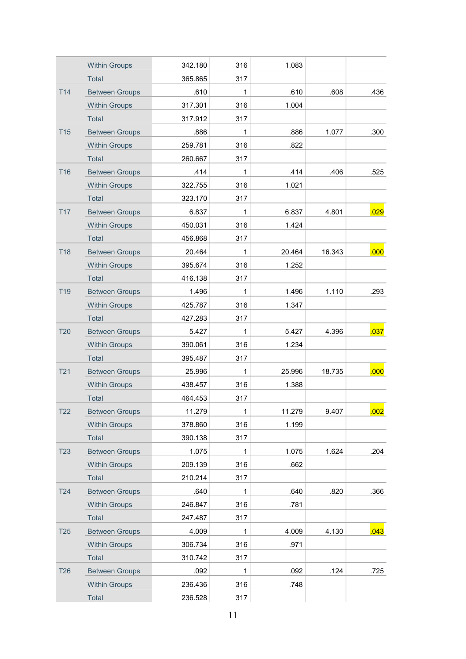|                 | <b>Within Groups</b>  | 342.180 | 316          | 1.083  |        |      |
|-----------------|-----------------------|---------|--------------|--------|--------|------|
|                 | <b>Total</b>          | 365.865 | 317          |        |        |      |
| T14             | <b>Between Groups</b> | .610    | 1            | .610   | .608   | .436 |
|                 | <b>Within Groups</b>  | 317.301 | 316          | 1.004  |        |      |
|                 | <b>Total</b>          | 317.912 | 317          |        |        |      |
| <b>T15</b>      | <b>Between Groups</b> | .886    | $\mathbf{1}$ | .886   | 1.077  | .300 |
|                 | <b>Within Groups</b>  | 259.781 | 316          | .822   |        |      |
|                 | Total                 | 260.667 | 317          |        |        |      |
| <b>T16</b>      | <b>Between Groups</b> | .414    | 1            | .414   | .406   | .525 |
|                 | <b>Within Groups</b>  | 322.755 | 316          | 1.021  |        |      |
|                 | <b>Total</b>          | 323.170 | 317          |        |        |      |
| <b>T17</b>      | <b>Between Groups</b> | 6.837   | $\mathbf{1}$ | 6.837  | 4.801  | .029 |
|                 | <b>Within Groups</b>  | 450.031 | 316          | 1.424  |        |      |
|                 | <b>Total</b>          | 456.868 | 317          |        |        |      |
| T18             | <b>Between Groups</b> | 20.464  | 1            | 20.464 | 16.343 | .000 |
|                 | <b>Within Groups</b>  | 395.674 | 316          | 1.252  |        |      |
|                 | <b>Total</b>          | 416.138 | 317          |        |        |      |
| T <sub>19</sub> | <b>Between Groups</b> | 1.496   | $\mathbf{1}$ | 1.496  | 1.110  | .293 |
|                 | <b>Within Groups</b>  | 425.787 | 316          | 1.347  |        |      |
|                 | <b>Total</b>          | 427.283 | 317          |        |        |      |
| <b>T20</b>      | <b>Between Groups</b> | 5.427   | 1            | 5.427  | 4.396  | .037 |
|                 | <b>Within Groups</b>  | 390.061 | 316          | 1.234  |        |      |
|                 | <b>Total</b>          | 395.487 | 317          |        |        |      |
| T <sub>21</sub> | <b>Between Groups</b> | 25.996  | $\mathbf{1}$ | 25.996 | 18.735 | .000 |
|                 | <b>Within Groups</b>  | 438.457 | 316          | 1.388  |        |      |
|                 | <b>Total</b>          | 464.453 | 317          |        |        |      |
| T22             | <b>Between Groups</b> | 11.279  | 1            | 11.279 | 9.407  | .002 |
|                 | <b>Within Groups</b>  | 378.860 | 316          | 1.199  |        |      |
|                 | Total                 | 390.138 | 317          |        |        |      |
| <b>T23</b>      | <b>Between Groups</b> | 1.075   | $\mathbf 1$  | 1.075  | 1.624  | .204 |
|                 | <b>Within Groups</b>  | 209.139 | 316          | .662   |        |      |
|                 | Total                 | 210.214 | 317          |        |        |      |
| T24             | <b>Between Groups</b> | .640    | 1            | .640   | .820   | .366 |
|                 | <b>Within Groups</b>  | 246.847 | 316          | .781   |        |      |
|                 | Total                 | 247.487 | 317          |        |        |      |
| T25             | <b>Between Groups</b> | 4.009   | $\mathbf{1}$ | 4.009  | 4.130  | .043 |
|                 | <b>Within Groups</b>  | 306.734 | 316          | .971   |        |      |
|                 | Total                 | 310.742 | 317          |        |        |      |
| <b>T26</b>      | <b>Between Groups</b> | .092    | 1            | .092   | .124   | .725 |
|                 | <b>Within Groups</b>  | 236.436 | 316          | .748   |        |      |
|                 | Total                 | 236.528 | 317          |        |        |      |